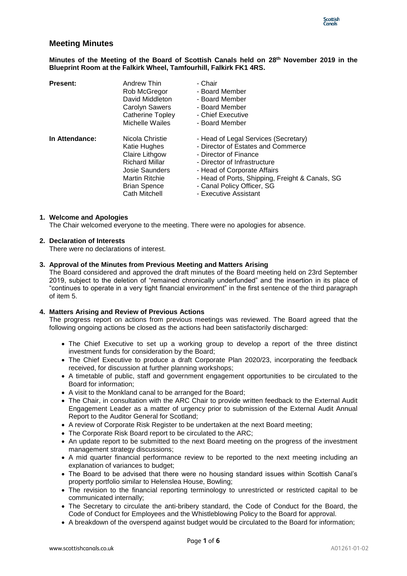

# **Meeting Minutes**

**Minutes of the Meeting of the Board of Scottish Canals held on 28 th November 2019 in the Blueprint Room at the Falkirk Wheel, Tamfourhill, Falkirk FK1 4RS.**

| <b>Present:</b> | Andrew Thin<br>Rob McGregor<br>David Middleton<br><b>Carolyn Sawers</b><br><b>Catherine Topley</b><br>Michelle Wailes                                         | - Chair<br>- Board Member<br>- Board Member<br>- Board Member<br>- Chief Executive<br>- Board Member                                                                                                                                                                         |
|-----------------|---------------------------------------------------------------------------------------------------------------------------------------------------------------|------------------------------------------------------------------------------------------------------------------------------------------------------------------------------------------------------------------------------------------------------------------------------|
| In Attendance:  | Nicola Christie<br>Katie Hughes<br>Claire Lithgow<br><b>Richard Millar</b><br>Josie Saunders<br><b>Martin Ritchie</b><br><b>Brian Spence</b><br>Cath Mitchell | - Head of Legal Services (Secretary)<br>- Director of Estates and Commerce<br>- Director of Finance<br>- Director of Infrastructure<br>- Head of Corporate Affairs<br>- Head of Ports, Shipping, Freight & Canals, SG<br>- Canal Policy Officer, SG<br>- Executive Assistant |

### **1. Welcome and Apologies**

The Chair welcomed everyone to the meeting. There were no apologies for absence.

### **2. Declaration of Interests**

There were no declarations of interest.

#### **3. Approval of the Minutes from Previous Meeting and Matters Arising**

The Board considered and approved the draft minutes of the Board meeting held on 23rd September 2019, subject to the deletion of "remained chronically underfunded" and the insertion in its place of "continues to operate in a very tight financial environment" in the first sentence of the third paragraph of item 5.

### **4. Matters Arising and Review of Previous Actions**

The progress report on actions from previous meetings was reviewed. The Board agreed that the following ongoing actions be closed as the actions had been satisfactorily discharged:

- The Chief Executive to set up a working group to develop a report of the three distinct investment funds for consideration by the Board;
- The Chief Executive to produce a draft Corporate Plan 2020/23, incorporating the feedback received, for discussion at further planning workshops;
- A timetable of public, staff and government engagement opportunities to be circulated to the Board for information;
- A visit to the Monkland canal to be arranged for the Board;
- The Chair, in consultation with the ARC Chair to provide written feedback to the External Audit Engagement Leader as a matter of urgency prior to submission of the External Audit Annual Report to the Auditor General for Scotland;
- A review of Corporate Risk Register to be undertaken at the next Board meeting;
- The Corporate Risk Board report to be circulated to the ARC;
- An update report to be submitted to the next Board meeting on the progress of the investment management strategy discussions;
- A mid quarter financial performance review to be reported to the next meeting including an explanation of variances to budget;
- The Board to be advised that there were no housing standard issues within Scottish Canal's property portfolio similar to Helenslea House, Bowling;
- The revision to the financial reporting terminology to unrestricted or restricted capital to be communicated internally;
- The Secretary to circulate the anti-bribery standard, the Code of Conduct for the Board, the Code of Conduct for Employees and the Whistleblowing Policy to the Board for approval.
- A breakdown of the overspend against budget would be circulated to the Board for information;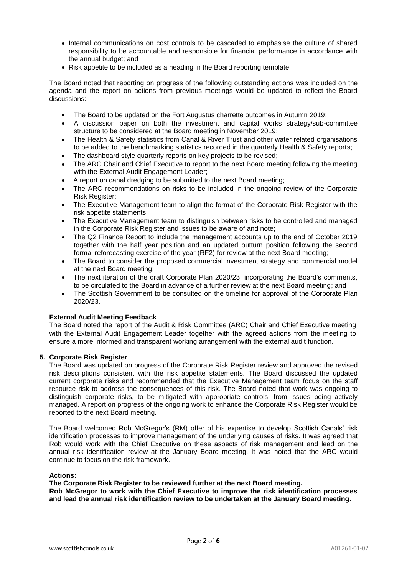- Internal communications on cost controls to be cascaded to emphasise the culture of shared responsibility to be accountable and responsible for financial performance in accordance with the annual budget; and
- Risk appetite to be included as a heading in the Board reporting template.

The Board noted that reporting on progress of the following outstanding actions was included on the agenda and the report on actions from previous meetings would be updated to reflect the Board discussions:

- The Board to be updated on the Fort Augustus charrette outcomes in Autumn 2019;
- A discussion paper on both the investment and capital works strategy/sub-committee structure to be considered at the Board meeting in November 2019;
- The Health & Safety statistics from Canal & River Trust and other water related organisations to be added to the benchmarking statistics recorded in the quarterly Health & Safety reports;
- The dashboard style quarterly reports on key projects to be revised;
- The ARC Chair and Chief Executive to report to the next Board meeting following the meeting with the External Audit Engagement Leader;
- A report on canal dredging to be submitted to the next Board meeting;
- The ARC recommendations on risks to be included in the ongoing review of the Corporate Risk Register;
- The Executive Management team to align the format of the Corporate Risk Register with the risk appetite statements;
- The Executive Management team to distinguish between risks to be controlled and managed in the Corporate Risk Register and issues to be aware of and note;
- The Q2 Finance Report to include the management accounts up to the end of October 2019 together with the half year position and an updated outturn position following the second formal reforecasting exercise of the year (RF2) for review at the next Board meeting;
- The Board to consider the proposed commercial investment strategy and commercial model at the next Board meeting;
- The next iteration of the draft Corporate Plan 2020/23, incorporating the Board's comments, to be circulated to the Board in advance of a further review at the next Board meeting; and
- The Scottish Government to be consulted on the timeline for approval of the Corporate Plan 2020/23.

# **External Audit Meeting Feedback**

The Board noted the report of the Audit & Risk Committee (ARC) Chair and Chief Executive meeting with the External Audit Engagement Leader together with the agreed actions from the meeting to ensure a more informed and transparent working arrangement with the external audit function.

# **5. Corporate Risk Register**

The Board was updated on progress of the Corporate Risk Register review and approved the revised risk descriptions consistent with the risk appetite statements. The Board discussed the updated current corporate risks and recommended that the Executive Management team focus on the staff resource risk to address the consequences of this risk. The Board noted that work was ongoing to distinguish corporate risks, to be mitigated with appropriate controls, from issues being actively managed. A report on progress of the ongoing work to enhance the Corporate Risk Register would be reported to the next Board meeting.

The Board welcomed Rob McGregor's (RM) offer of his expertise to develop Scottish Canals' risk identification processes to improve management of the underlying causes of risks. It was agreed that Rob would work with the Chief Executive on these aspects of risk management and lead on the annual risk identification review at the January Board meeting. It was noted that the ARC would continue to focus on the risk framework.

# **Actions:**

**The Corporate Risk Register to be reviewed further at the next Board meeting. Rob McGregor to work with the Chief Executive to improve the risk identification processes and lead the annual risk identification review to be undertaken at the January Board meeting.**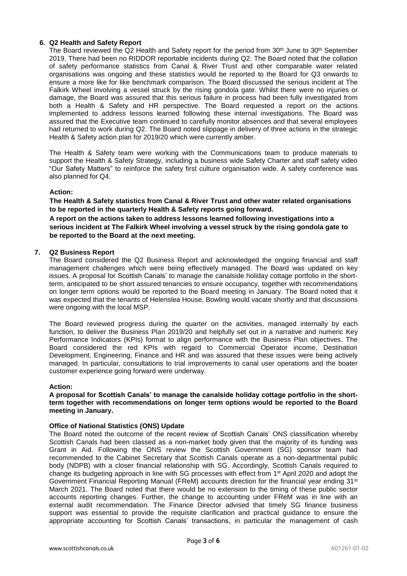### **6. Q2 Health and Safety Report**

The Board reviewed the Q2 Health and Safety report for the period from  $30<sup>th</sup>$  June to  $30<sup>th</sup>$  September 2019. There had been no RIDDOR reportable incidents during Q2. The Board noted that the collation of safety performance statistics from Canal & River Trust and other comparable water related organisations was ongoing and these statistics would be reported to the Board for Q3 onwards to ensure a more like for like benchmark comparison. The Board discussed the serious incident at The Falkirk Wheel involving a vessel struck by the rising gondola gate. Whilst there were no injuries or damage, the Board was assured that this serious failure in process had been fully investigated from both a Health & Safety and HR perspective. The Board requested a report on the actions implemented to address lessons learned following these internal investigations. The Board was assured that the Executive team continued to carefully monitor absences and that several employees had returned to work during Q2. The Board noted slippage in delivery of three actions in the strategic Health & Safety action plan for 2019/20 which were currently amber.

The Health & Safety team were working with the Communications team to produce materials to support the Health & Safety Strategy, including a business wide Safety Charter and staff safety video "Our Safety Matters" to reinforce the safety first culture organisation wide. A safety conference was also planned for Q4.

### **Action:**

**The Health & Safety statistics from Canal & River Trust and other water related organisations to be reported in the quarterly Health & Safety reports going forward.**

**A report on the actions taken to address lessons learned following investigations into a serious incident at The Falkirk Wheel involving a vessel struck by the rising gondola gate to be reported to the Board at the next meeting.**

### **7. Q2 Business Report**

The Board considered the Q2 Business Report and acknowledged the ongoing financial and staff management challenges which were being effectively managed. The Board was updated on key issues. A proposal for Scottish Canals' to manage the canalside holiday cottage portfolio in the shortterm, anticipated to be short assured tenancies to ensure occupancy, together with recommendations on longer term options would be reported to the Board meeting in January. The Board noted that it was expected that the tenants of Helenslea House, Bowling would vacate shortly and that discussions were ongoing with the local MSP.

The Board reviewed progress during the quarter on the activities, managed internally by each function, to deliver the Business Plan 2019/20 and helpfully set out in a narrative and numeric Key Performance Indicators (KPIs) format to align performance with the Business Plan objectives. The Board considered the red KPIs with regard to Commercial Operator income, Destination Development, Engineering, Finance and HR and was assured that these issues were being actively managed. In particular, consultations to trial improvements to canal user operations and the boater customer experience going forward were underway.

### **Action:**

**A proposal for Scottish Canals' to manage the canalside holiday cottage portfolio in the shortterm together with recommendations on longer term options would be reported to the Board meeting in January.**

### **Office of National Statistics (ONS) Update**

The Board noted the outcome of the recent review of Scottish Canals' ONS classification whereby Scottish Canals had been classed as a non-market body given that the majority of its funding was Grant in Aid. Following the ONS review the Scottish Government (SG) sponsor team had recommended to the Cabinet Secretary that Scottish Canals operate as a non-departmental public body (NDPB) with a closer financial relationship with SG. Accordingly, Scottish Canals required to change its budgeting approach in line with SG processes with effect from 1st April 2020 and adopt the Government Financial Reporting Manual (FReM) accounts direction for the financial year ending 31st March 2021. The Board noted that there would be no extension to the timing of these public sector accounts reporting changes. Further, the change to accounting under FReM was in line with an external audit recommendation. The Finance Director advised that timely SG finance business support was essential to provide the requisite clarification and practical guidance to ensure the appropriate accounting for Scottish Canals' transactions, in particular the management of cash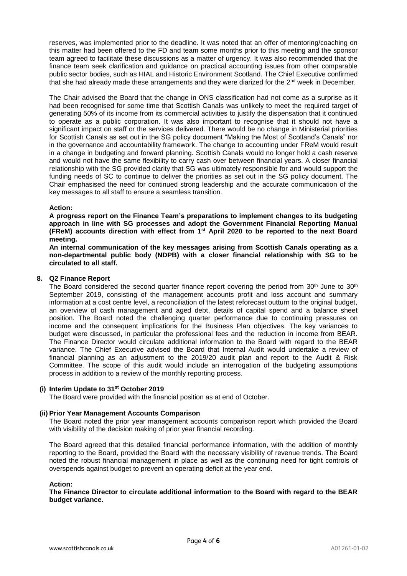reserves, was implemented prior to the deadline. It was noted that an offer of mentoring/coaching on this matter had been offered to the FD and team some months prior to this meeting and the sponsor team agreed to facilitate these discussions as a matter of urgency. It was also recommended that the finance team seek clarification and guidance on practical accounting issues from other comparable public sector bodies, such as HIAL and Historic Environment Scotland. The Chief Executive confirmed that she had already made these arrangements and they were diarized for the  $2<sup>nd</sup>$  week in December.

The Chair advised the Board that the change in ONS classification had not come as a surprise as it had been recognised for some time that Scottish Canals was unlikely to meet the required target of generating 50% of its income from its commercial activities to justify the dispensation that it continued to operate as a public corporation. It was also important to recognise that it should not have a significant impact on staff or the services delivered. There would be no change in Ministerial priorities for Scottish Canals as set out in the SG policy document "Making the Most of Scotland's Canals" nor in the governance and accountability framework. The change to accounting under FReM would result in a change in budgeting and forward planning. Scottish Canals would no longer hold a cash reserve and would not have the same flexibility to carry cash over between financial years. A closer financial relationship with the SG provided clarity that SG was ultimately responsible for and would support the funding needs of SC to continue to deliver the priorities as set out in the SG policy document. The Chair emphasised the need for continued strong leadership and the accurate communication of the key messages to all staff to ensure a seamless transition.

### **Action:**

**A progress report on the Finance Team's preparations to implement changes to its budgeting approach in line with SG processes and adopt the Government Financial Reporting Manual (FReM) accounts direction with effect from 1st April 2020 to be reported to the next Board meeting.** 

**An internal communication of the key messages arising from Scottish Canals operating as a non-departmental public body (NDPB) with a closer financial relationship with SG to be circulated to all staff.**

### **8. Q2 Finance Report**

The Board considered the second quarter finance report covering the period from  $30<sup>th</sup>$  June to  $30<sup>th</sup>$ September 2019, consisting of the management accounts profit and loss account and summary information at a cost centre level, a reconciliation of the latest reforecast outturn to the original budget, an overview of cash management and aged debt, details of capital spend and a balance sheet position. The Board noted the challenging quarter performance due to continuing pressures on income and the consequent implications for the Business Plan objectives. The key variances to budget were discussed, in particular the professional fees and the reduction in income from BEAR. The Finance Director would circulate additional information to the Board with regard to the BEAR variance. The Chief Executive advised the Board that Internal Audit would undertake a review of financial planning as an adjustment to the 2019/20 audit plan and report to the Audit & Risk Committee. The scope of this audit would include an interrogation of the budgeting assumptions process in addition to a review of the monthly reporting process.

### **(i) Interim Update to 31st October 2019**

The Board were provided with the financial position as at end of October.

### **(ii) Prior Year Management Accounts Comparison**

The Board noted the prior year management accounts comparison report which provided the Board with visibility of the decision making of prior year financial recording.

The Board agreed that this detailed financial performance information, with the addition of monthly reporting to the Board, provided the Board with the necessary visibility of revenue trends. The Board noted the robust financial management in place as well as the continuing need for tight controls of overspends against budget to prevent an operating deficit at the year end.

### **Action:**

**The Finance Director to circulate additional information to the Board with regard to the BEAR budget variance.**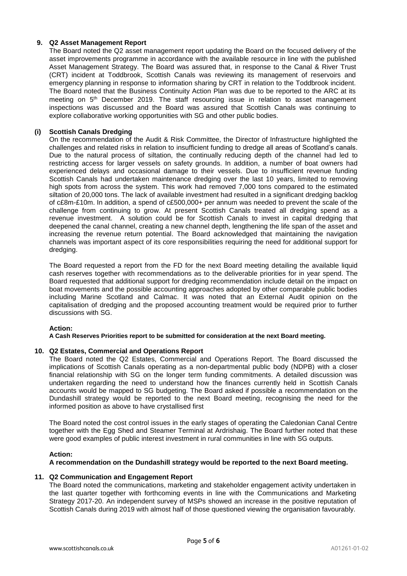## **9. Q2 Asset Management Report**

The Board noted the Q2 asset management report updating the Board on the focused delivery of the asset improvements programme in accordance with the available resource in line with the published Asset Management Strategy. The Board was assured that, in response to the Canal & River Trust (CRT) incident at Toddbrook, Scottish Canals was reviewing its management of reservoirs and emergency planning in response to information sharing by CRT in relation to the Toddbrook incident. The Board noted that the Business Continuity Action Plan was due to be reported to the ARC at its meeting on 5<sup>th</sup> December 2019. The staff resourcing issue in relation to asset management inspections was discussed and the Board was assured that Scottish Canals was continuing to explore collaborative working opportunities with SG and other public bodies.

## **(i) Scottish Canals Dredging**

On the recommendation of the Audit & Risk Committee, the Director of Infrastructure highlighted the challenges and related risks in relation to insufficient funding to dredge all areas of Scotland's canals. Due to the natural process of siltation, the continually reducing depth of the channel had led to restricting access for larger vessels on safety grounds. In addition, a number of boat owners had experienced delays and occasional damage to their vessels. Due to insufficient revenue funding Scottish Canals had undertaken maintenance dredging over the last 10 years, limited to removing high spots from across the system. This work had removed 7,000 tons compared to the estimated siltation of 20,000 tons. The lack of available investment had resulted in a significant dredging backlog of c£8m-£10m. In addition, a spend of c£500,000+ per annum was needed to prevent the scale of the challenge from continuing to grow. At present Scottish Canals treated all dredging spend as a revenue investment. A solution could be for Scottish Canals to invest in capital dredging that deepened the canal channel, creating a new channel depth, lengthening the life span of the asset and increasing the revenue return potential. The Board acknowledged that maintaining the navigation channels was important aspect of its core responsibilities requiring the need for additional support for dredging.

The Board requested a report from the FD for the next Board meeting detailing the available liquid cash reserves together with recommendations as to the deliverable priorities for in year spend. The Board requested that additional support for dredging recommendation include detail on the impact on boat movements and the possible accounting approaches adopted by other comparable public bodies including Marine Scotland and Calmac. It was noted that an External Audit opinion on the capitalisation of dredging and the proposed accounting treatment would be required prior to further discussions with SG.

### **Action:**

**A Cash Reserves Priorities report to be submitted for consideration at the next Board meeting.**

### **10. Q2 Estates, Commercial and Operations Report**

The Board noted the Q2 Estates, Commercial and Operations Report. The Board discussed the implications of Scottish Canals operating as a non-departmental public body (NDPB) with a closer financial relationship with SG on the longer term funding commitments. A detailed discussion was undertaken regarding the need to understand how the finances currently held in Scottish Canals accounts would be mapped to SG budgeting. The Board asked if possible a recommendation on the Dundashill strategy would be reported to the next Board meeting, recognising the need for the informed position as above to have crystallised first

The Board noted the cost control issues in the early stages of operating the Caledonian Canal Centre together with the Egg Shed and Steamer Terminal at Ardrishaig. The Board further noted that these were good examples of public interest investment in rural communities in line with SG outputs.

### **Action:**

### **A recommendation on the Dundashill strategy would be reported to the next Board meeting.**

### **11. Q2 Communication and Engagement Report**

The Board noted the communications, marketing and stakeholder engagement activity undertaken in the last quarter together with forthcoming events in line with the Communications and Marketing Strategy 2017-20. An independent survey of MSPs showed an increase in the positive reputation of Scottish Canals during 2019 with almost half of those questioned viewing the organisation favourably.